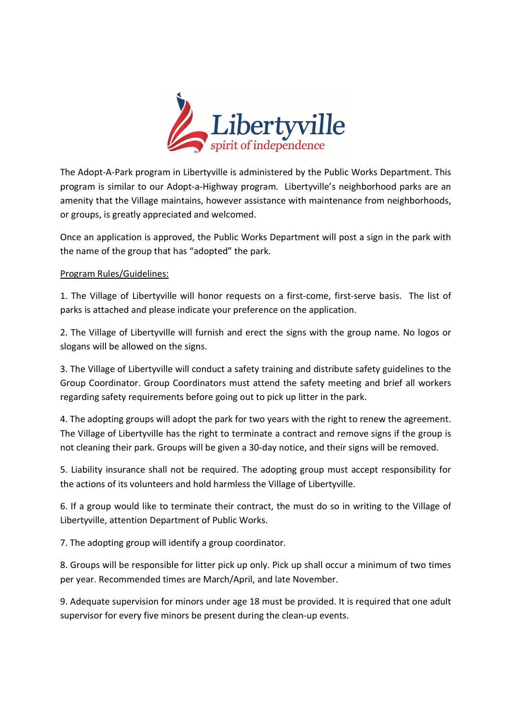

The Adopt-A-Park program in Libertyville is administered by the Public Works Department. This program is similar to our Adopt-a-Highway program. Libertyville's neighborhood parks are an amenity that the Village maintains, however assistance with maintenance from neighborhoods, or groups, is greatly appreciated and welcomed.

Once an application is approved, the Public Works Department will post a sign in the park with the name of the group that has "adopted" the park.

## Program Rules/Guidelines:

1. The Village of Libertyville will honor requests on a first-come, first-serve basis. The list of parks is attached and please indicate your preference on the application.

2. The Village of Libertyville will furnish and erect the signs with the group name. No logos or slogans will be allowed on the signs.

3. The Village of Libertyville will conduct a safety training and distribute safety guidelines to the Group Coordinator. Group Coordinators must attend the safety meeting and brief all workers regarding safety requirements before going out to pick up litter in the park.

4. The adopting groups will adopt the park for two years with the right to renew the agreement. The Village of Libertyville has the right to terminate a contract and remove signs if the group is not cleaning their park. Groups will be given a 30-day notice, and their signs will be removed.

5. Liability insurance shall not be required. The adopting group must accept responsibility for the actions of its volunteers and hold harmless the Village of Libertyville.

6. If a group would like to terminate their contract, the must do so in writing to the Village of Libertyville, attention Department of Public Works.

7. The adopting group will identify a group coordinator.

8. Groups will be responsible for litter pick up only. Pick up shall occur a minimum of two times per year. Recommended times are March/April, and late November.

9. Adequate supervision for minors under age 18 must be provided. It is required that one adult supervisor for every five minors be present during the clean-up events.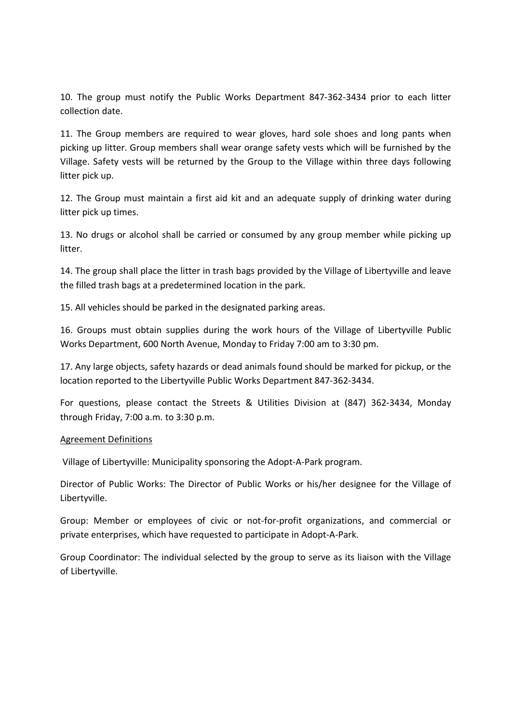10. The group must notify the Public Works Department 847-362-3434 prior to each litter collection date.

11. The Group members are required to wear gloves, hard sole shoes and long pants when picking up litter. Group members shall wear orange safety vests which will be furnished by the Village. Safety vests will be returned by the Group to the Village within three days following litter pick up.

12. The Group must maintain a first aid kit and an adequate supply of drinking water during litter pick up times.

13. No drugs or alcohol shall be carried or consumed by any group member while picking up litter.

14. The group shall place the litter in trash bags provided by the Village of Libertyville and leave the filled trash bags at a predetermined location in the park.

15. All vehicles should be parked in the designated parking areas.

16. Groups must obtain supplies during the work hours of the Village of Libertyville Public Works Department, 600 North Avenue, Monday to Friday 7:00 am to 3:30 pm.

17. Any large objects, safety hazards or dead animals found should be marked for pickup, or the location reported to the Libertyville Public Works Department 847-362-3434.

For questions, please contact the Streets & Utilities Division at (847) 362-3434, Monday through Friday, 7:00 a.m. to 3:30 p.m.

## Agreement Definitions

Village of Libertyville: Municipality sponsoring the Adopt-A-Park program.

Director of Public Works: The Director of Public Works or his/her designee for the Village of Libertyville.

Group: Member or employees of civic or not-for-profit organizations, and commercial or private enterprises, which have requested to participate in Adopt-A-Park.

Group Coordinator: The individual selected by the group to serve as its liaison with the Village of Libertyville.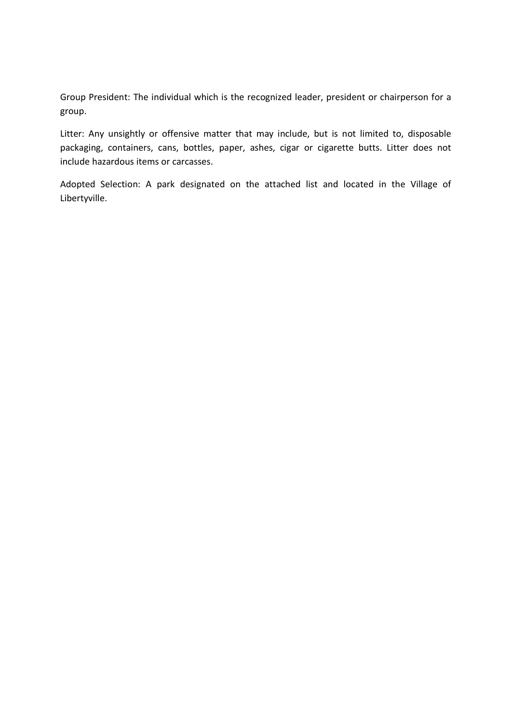Group President: The individual which is the recognized leader, president or chairperson for a group.

Litter: Any unsightly or offensive matter that may include, but is not limited to, disposable packaging, containers, cans, bottles, paper, ashes, cigar or cigarette butts. Litter does not include hazardous items or carcasses.

Adopted Selection: A park designated on the attached list and located in the Village of Libertyville.